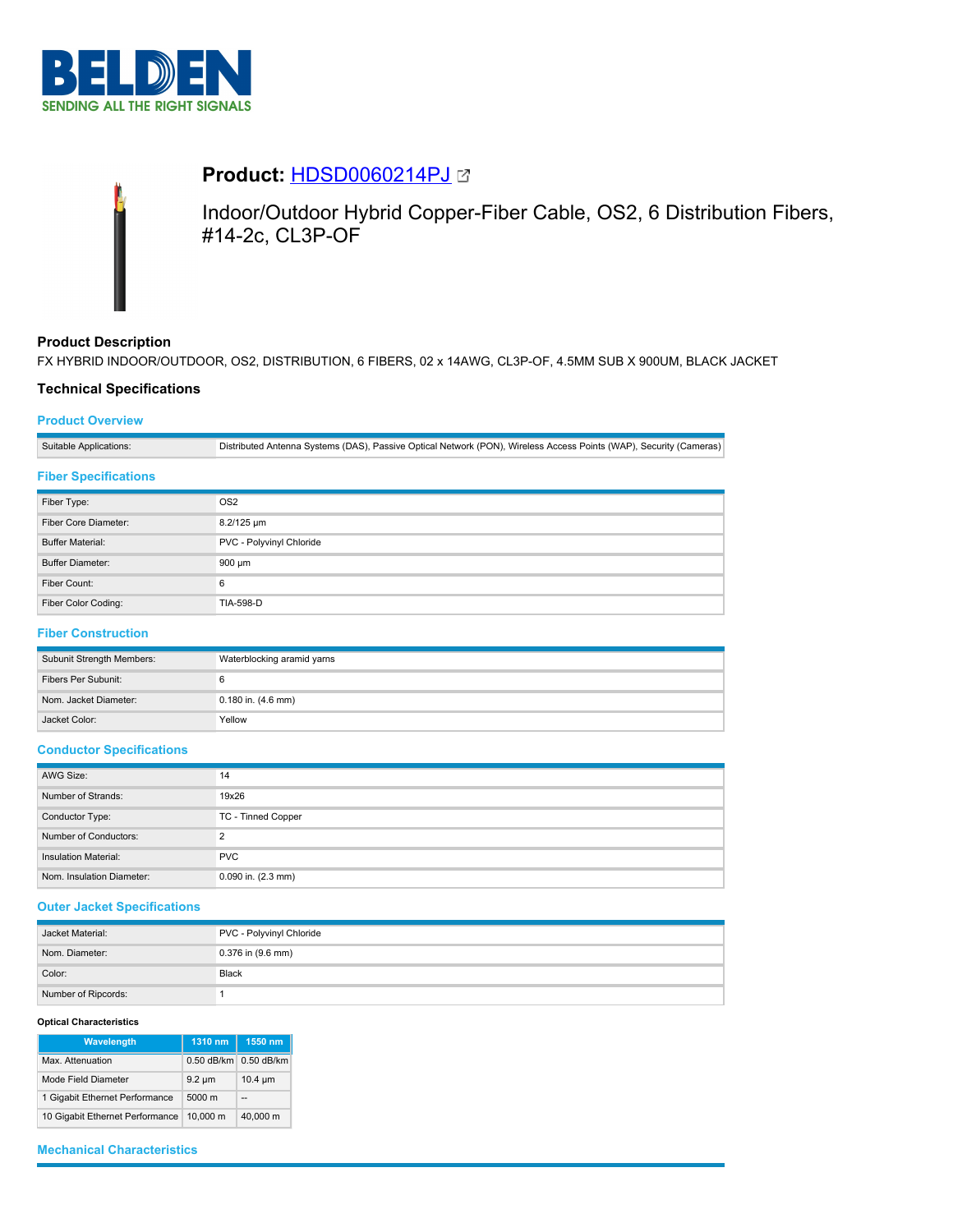



# **Product:** [HDSD0060214PJ](https://catalog.belden.com/index.cfm?event=pd&p=PF_HDSD0060214PJ&tab=downloads)

Indoor/Outdoor Hybrid Copper-Fiber Cable, OS2, 6 Distribution Fibers, #14-2c, CL3P-OF

## **Product Description**

FX HYBRID INDOOR/OUTDOOR, OS2, DISTRIBUTION, 6 FIBERS, 02 x 14AWG, CL3P-OF, 4.5MM SUB X 900UM, BLACK JACKET

## **Technical Specifications**

## **Product Overview**

Suitable Applications: Distributed Antenna Systems (DAS), Passive Optical Network (PON), Wireless Access Points (WAP), Security (Cameras)

#### **Fiber Specifications**

| Fiber Type:             | OS <sub>2</sub>          |  |
|-------------------------|--------------------------|--|
| Fiber Core Diameter:    | 8.2/125 um               |  |
| <b>Buffer Material:</b> | PVC - Polyvinyl Chloride |  |
| <b>Buffer Diameter:</b> | 900 µm                   |  |
| Fiber Count:            | 6                        |  |
| Fiber Color Coding:     | <b>TIA-598-D</b>         |  |

## **Fiber Construction**

| Subunit Strength Members: | Waterblocking aramid yarns |  |
|---------------------------|----------------------------|--|
| Fibers Per Subunit:       |                            |  |
| Nom. Jacket Diameter:     | $0.180$ in. $(4.6$ mm)     |  |
| Jacket Color:             | Yellow                     |  |

#### **Conductor Specifications**

| AWG Size:                   | 14                     |  |
|-----------------------------|------------------------|--|
| Number of Strands:          | 19x26                  |  |
| Conductor Type:             | TC - Tinned Copper     |  |
| Number of Conductors:       | っ                      |  |
| <b>Insulation Material:</b> | <b>PVC</b>             |  |
| Nom. Insulation Diameter:   | $0.090$ in. $(2.3$ mm) |  |

## **Outer Jacket Specifications**

| Jacket Material:    | PVC - Polyvinyl Chloride |  |
|---------------------|--------------------------|--|
| Nom. Diameter:      | 0.376 in (9.6 mm)        |  |
| Color:              | <b>Black</b>             |  |
| Number of Ripcords: |                          |  |

#### **Optical Characteristics**

| Wavelength                      | 1310 nm      | 1550 nm      |
|---------------------------------|--------------|--------------|
| Max. Attenuation                | $0.50$ dB/km | 0.50 dB/km   |
| Mode Field Diameter             | $9.2 \mu m$  | $10.4 \mu m$ |
| 1 Gigabit Ethernet Performance  | 5000 m       |              |
| 10 Gigabit Ethernet Performance | 10.000 m     | 40.000 m     |

#### **Mechanical Characteristics**